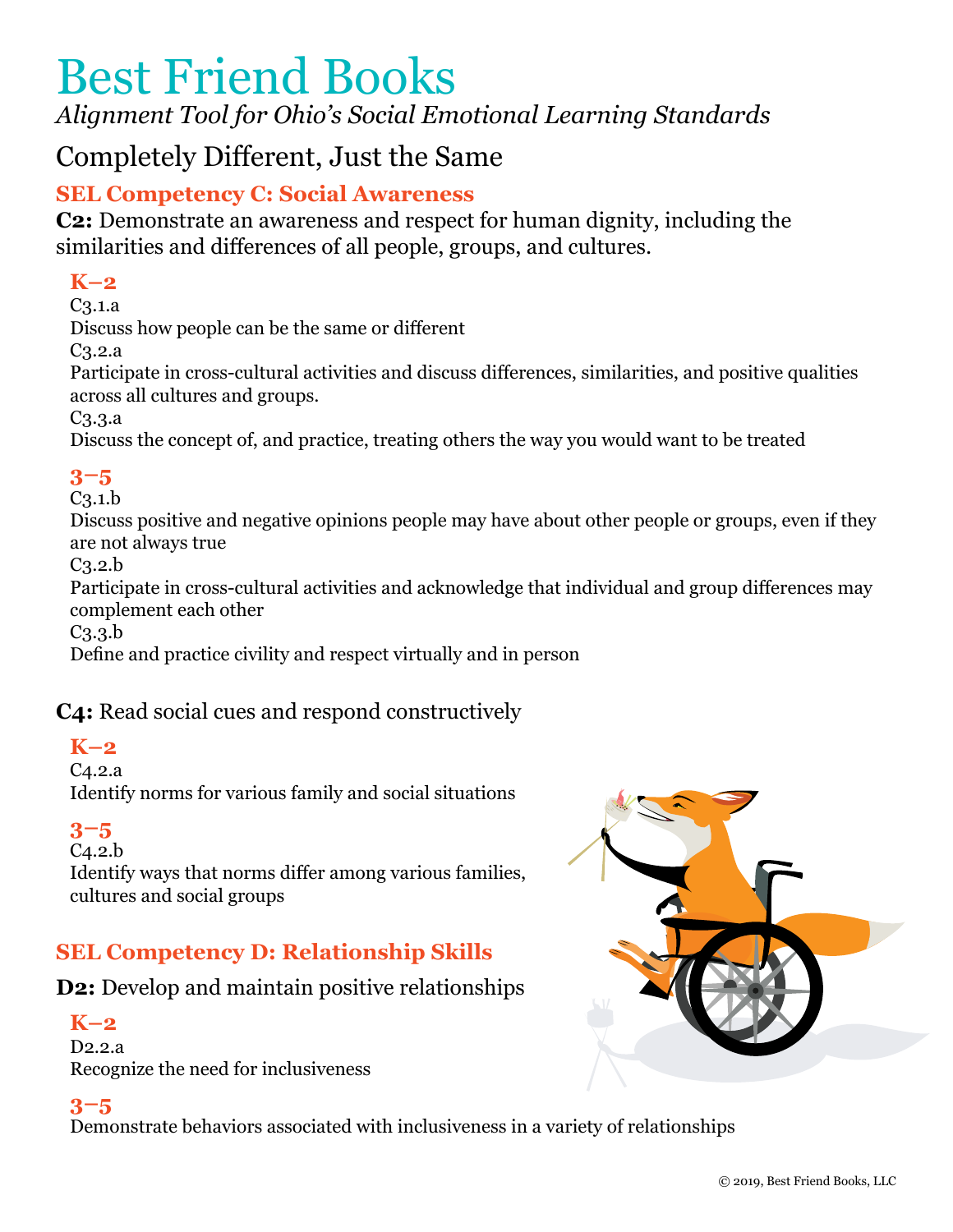*Alignment Tool for Ohio's Social Emotional Learning Standards*

# Completely Different, Just the Same

# **SEL Competency C: Social Awareness**

**C2:** Demonstrate an awareness and respect for human dignity, including the similarities and differences of all people, groups, and cultures.

# **K–2**

C3.1.a

Discuss how people can be the same or different

C3.2.a

Participate in cross-cultural activities and discuss differences, similarities, and positive qualities across all cultures and groups.

C3.3.a

Discuss the concept of, and practice, treating others the way you would want to be treated

## **3–5**

 $C<sub>3.1</sub>$ 

Discuss positive and negative opinions people may have about other people or groups, even if they are not always true

 $C<sub>3.2.b</sub>$ 

Participate in cross-cultural activities and acknowledge that individual and group differences may complement each other

C3.3.b

Define and practice civility and respect virtually and in person

## **C4:** Read social cues and respond constructively

## **K–2**

C4.2.a

Identify norms for various family and social situations

## **3–5**

C4.2.b

Identify ways that norms differ among various families, cultures and social groups

# **SEL Competency D: Relationship Skills**

## **D2:** Develop and maintain positive relationships

## **K–2**

D2.2.a Recognize the need for inclusiveness

## **3–5**

Demonstrate behaviors associated with inclusiveness in a variety of relationships

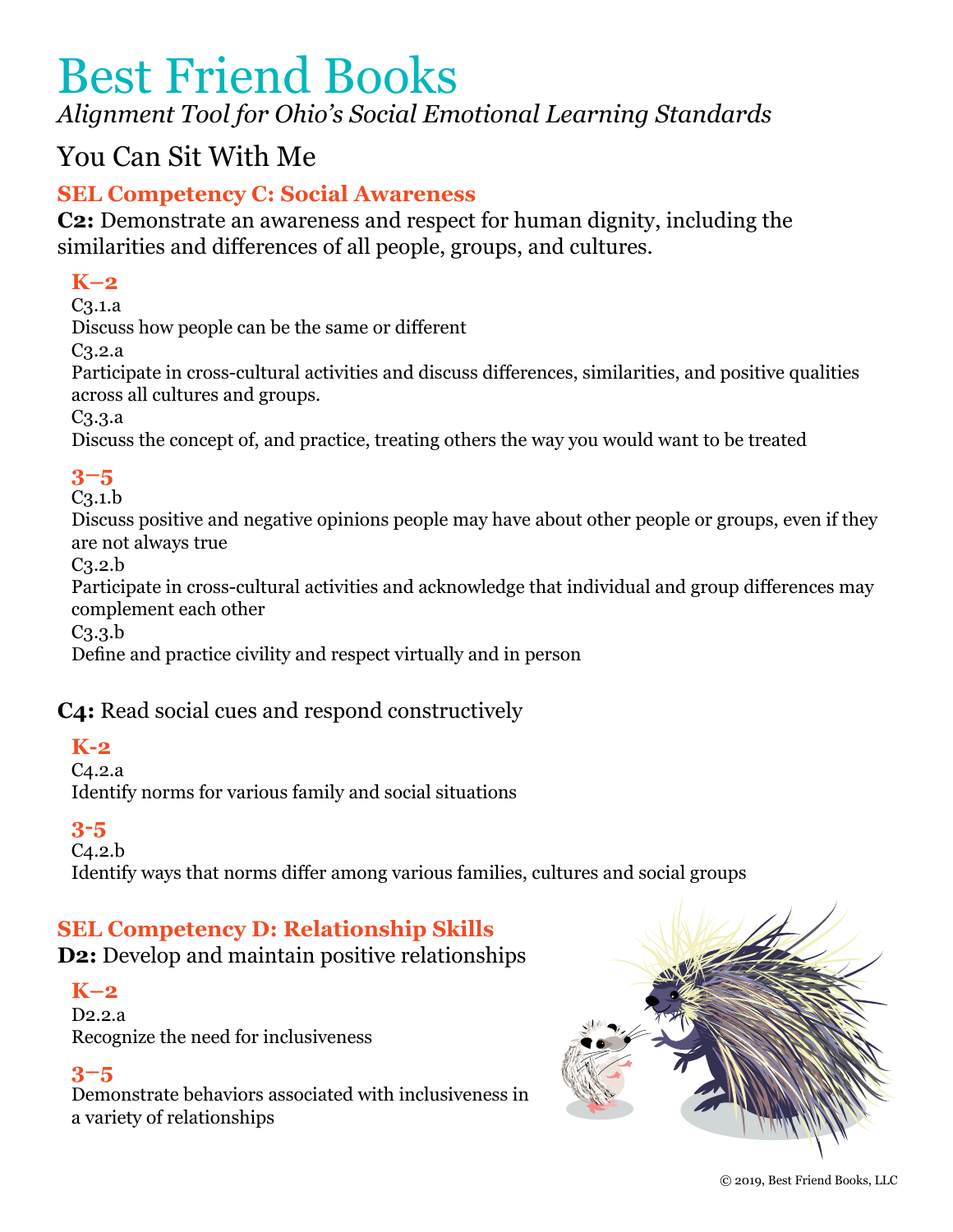# *Alignment Tool for Ohio's Social Emotional Learning Standards*

# You Can Sit With Me

## **SEL Competency C: Social Awareness**

**C2:** Demonstrate an awareness and respect for human dignity, including the similarities and differences of all people, groups, and cultures.

## **K–2**

C3.1.a

Discuss how people can be the same or different

C3.2.a

Participate in cross-cultural activities and discuss differences, similarities, and positive qualities across all cultures and groups.

C3.3.a

Discuss the concept of, and practice, treating others the way you would want to be treated

## **3–5**

C3.1.b

Discuss positive and negative opinions people may have about other people or groups, even if they are not always true

C3.2.b

Participate in cross-cultural activities and acknowledge that individual and group differences may complement each other

C3.3.b

Define and practice civility and respect virtually and in person

## **C4:** Read social cues and respond constructively

## **K-2**

C4.2.a

Identify norms for various family and social situations

## **3-5**

 $C<sub>4.2.b</sub>$ 

Identify ways that norms differ among various families, cultures and social groups

## **SEL Competency D: Relationship Skills**

**D2:** Develop and maintain positive relationships

## **K–2**

D2.2.a Recognize the need for inclusiveness

## **3–5**

Demonstrate behaviors associated with inclusiveness in a variety of relationships

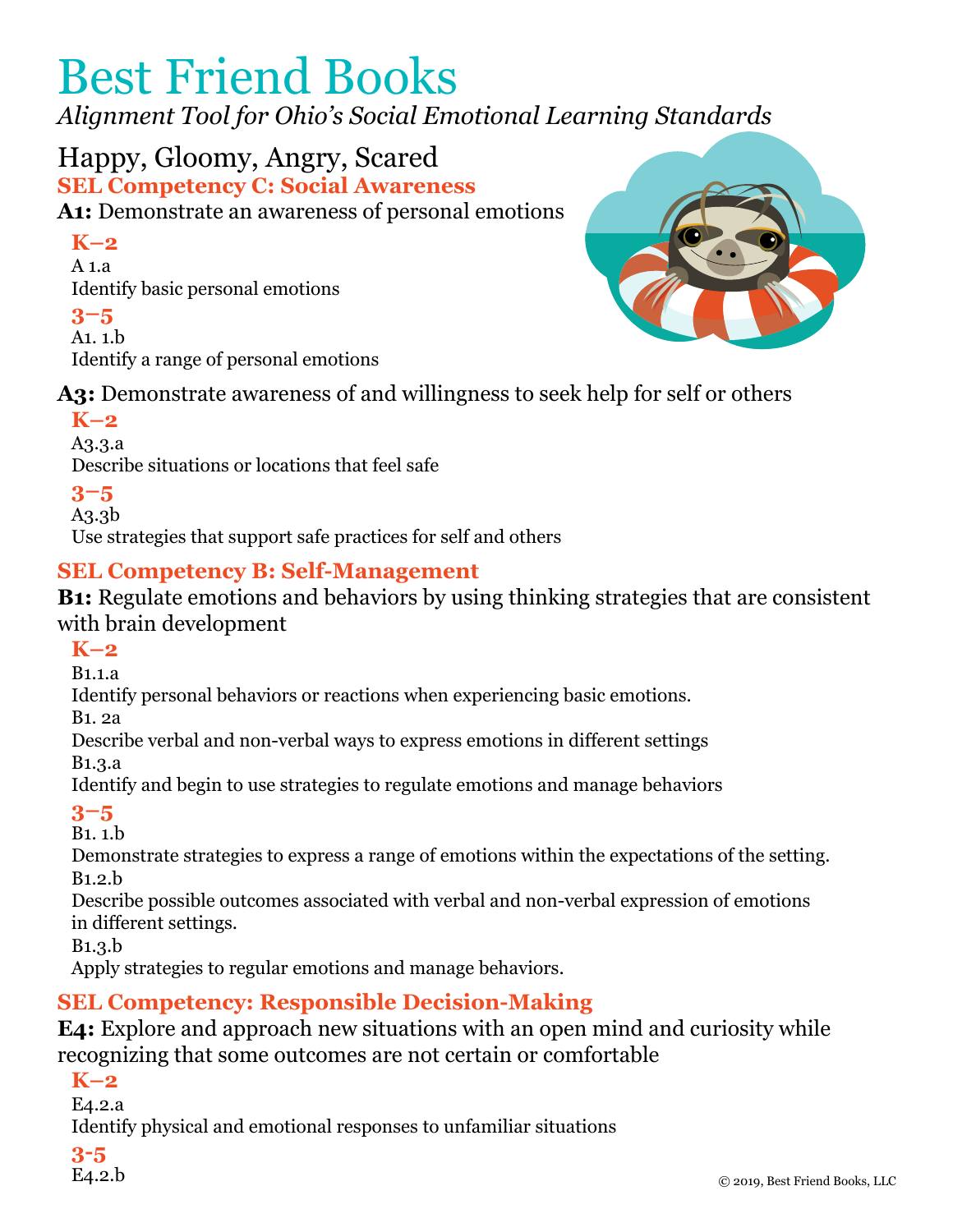*Alignment Tool for Ohio's Social Emotional Learning Standards*

Happy, Gloomy, Angry, Scared **SEL Competency C: Social Awareness A1:** Demonstrate an awareness of personal emotions

## **K–2**

A 1.a Identify basic personal emotions

#### **3–5**

A1. 1.b Identify a range of personal emotions



**A3:** Demonstrate awareness of and willingness to seek help for self or others

## **K–2**

A3.3.a Describe situations or locations that feel safe

## **3–5**

A3.3b

Use strategies that support safe practices for self and others

## **SEL Competency B: Self-Management**

**B1:** Regulate emotions and behaviors by using thinking strategies that are consistent with brain development

## **K–2**

B1.1.a

Identify personal behaviors or reactions when experiencing basic emotions.

B1. 2a

Describe verbal and non-verbal ways to express emotions in different settings

B1.3.a

Identify and begin to use strategies to regulate emotions and manage behaviors

## **3–5**

B1. 1.b

Demonstrate strategies to express a range of emotions within the expectations of the setting. B1.2.b

Describe possible outcomes associated with verbal and non-verbal expression of emotions in different settings.

B1.3.b

Apply strategies to regular emotions and manage behaviors.

## **SEL Competency: Responsible Decision-Making**

**E4:** Explore and approach new situations with an open mind and curiosity while recognizing that some outcomes are not certain or comfortable

**K–2**

E4.2.a

Identify physical and emotional responses to unfamiliar situations

**3-5**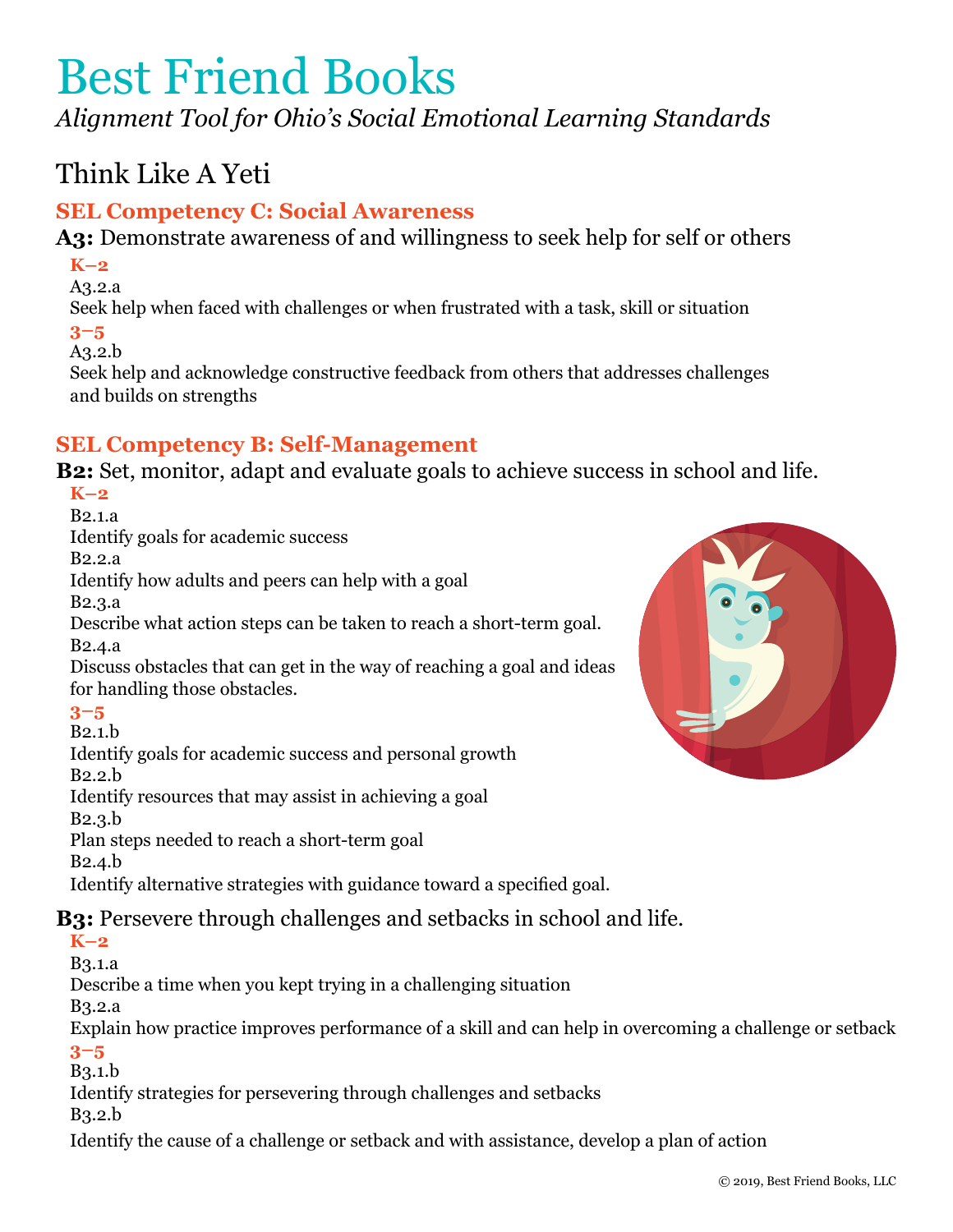*Alignment Tool for Ohio's Social Emotional Learning Standards*

# Think Like A Yeti

## **SEL Competency C: Social Awareness**

**A3:** Demonstrate awareness of and willingness to seek help for self or others

#### **K–2**

A3.2.a

Seek help when faced with challenges or when frustrated with a task, skill or situation **3–5**

A3.2.b

Seek help and acknowledge constructive feedback from others that addresses challenges and builds on strengths

## **SEL Competency B: Self-Management**

**B2:** Set, monitor, adapt and evaluate goals to achieve success in school and life.

#### **K–2**

B2.1.a

Identify goals for academic success

B2.2.a

Identify how adults and peers can help with a goal

B2.3.a

Describe what action steps can be taken to reach a short-term goal. B2.4.a

Discuss obstacles that can get in the way of reaching a goal and ideas for handling those obstacles.

## **3–5**

B2.1.b

Identify goals for academic success and personal growth

B2.2.b

Identify resources that may assist in achieving a goal

B2.3.b

Plan steps needed to reach a short-term goal

B2.4.b

Identify alternative strategies with guidance toward a specified goal.

## **B3:** Persevere through challenges and setbacks in school and life.

**K–2**

B3.1.a

Describe a time when you kept trying in a challenging situation

B3.2.a

Explain how practice improves performance of a skill and can help in overcoming a challenge or setback **3–5**

B3.1.b

Identify strategies for persevering through challenges and setbacks

B3.2.b

Identify the cause of a challenge or setback and with assistance, develop a plan of action

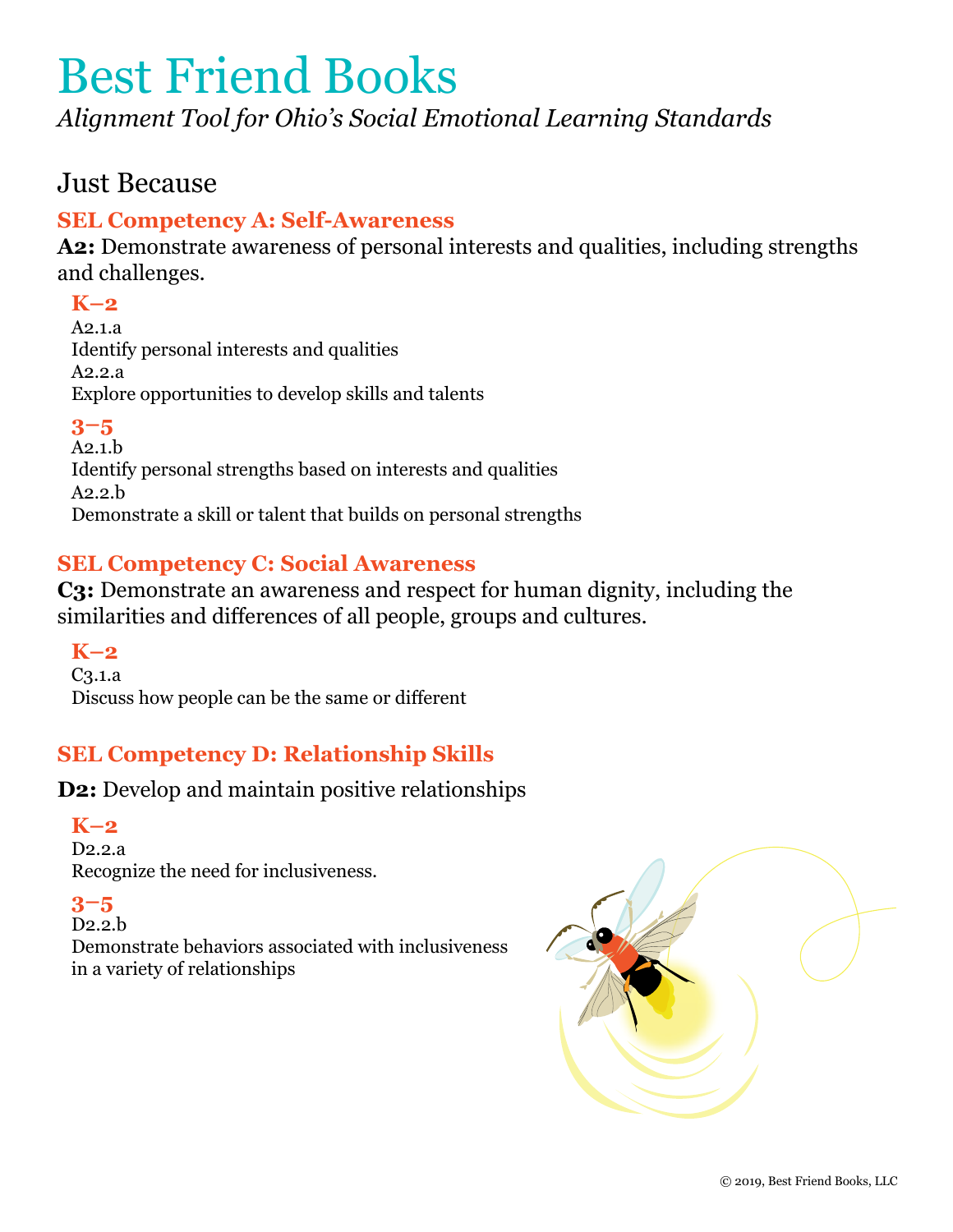*Alignment Tool for Ohio's Social Emotional Learning Standards*

# Just Because

## **SEL Competency A: Self-Awareness**

**A2:** Demonstrate awareness of personal interests and qualities, including strengths and challenges.

## **K–2**

A2.1.a Identify personal interests and qualities A2.2.a Explore opportunities to develop skills and talents

## **3–5**

A2.1.b Identify personal strengths based on interests and qualities  $A2.2.h$ Demonstrate a skill or talent that builds on personal strengths

## **SEL Competency C: Social Awareness**

**C3:** Demonstrate an awareness and respect for human dignity, including the similarities and differences of all people, groups and cultures.

**K–2** C3.1.a Discuss how people can be the same or different

## **SEL Competency D: Relationship Skills**

**D2:** Develop and maintain positive relationships

## **K–2**

D2.2.a Recognize the need for inclusiveness.

## **3–5**

D2.2.b Demonstrate behaviors associated with inclusiveness in a variety of relationships

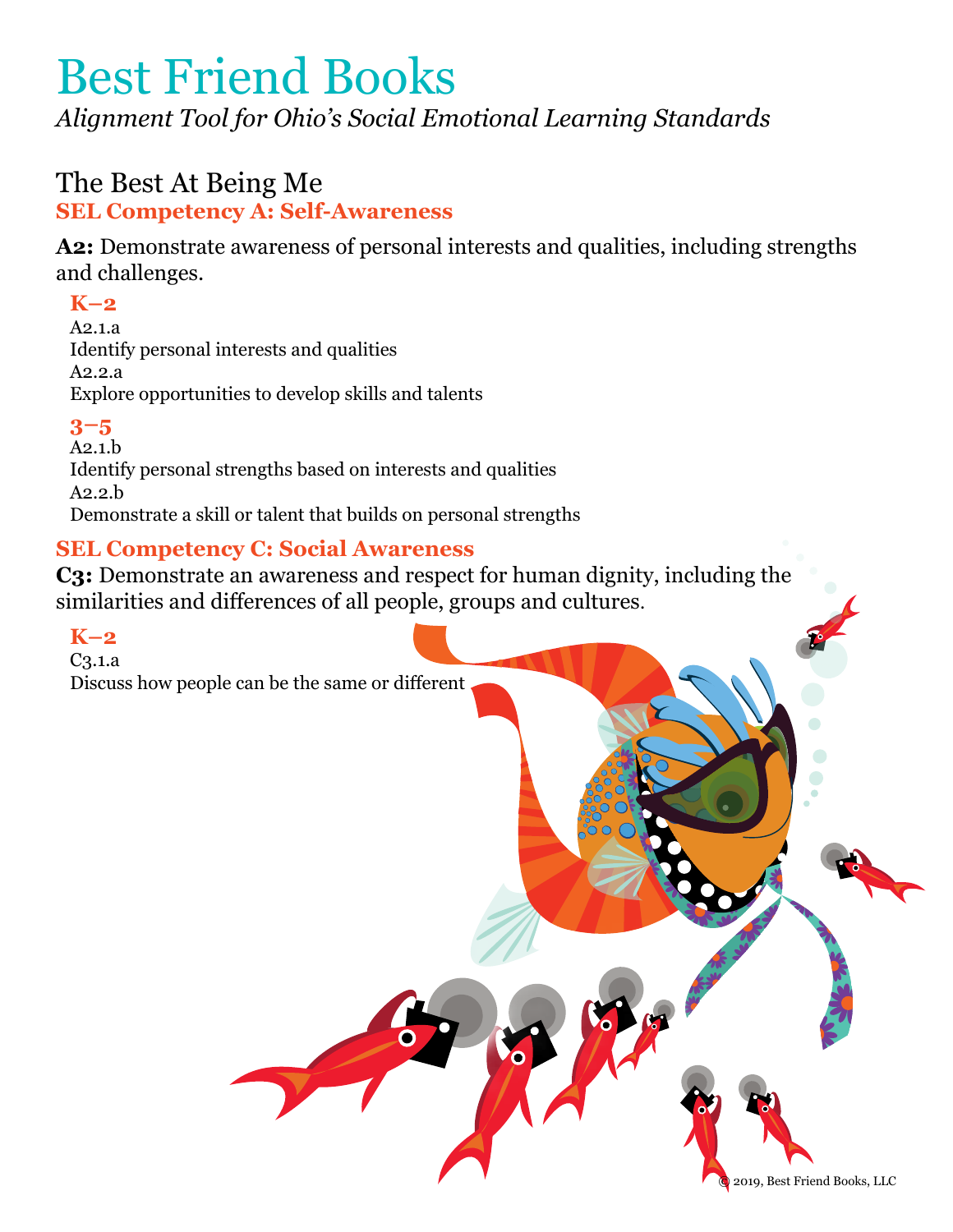*Alignment Tool for Ohio's Social Emotional Learning Standards*

# The Best At Being Me **SEL Competency A: Self-Awareness**

**A2:** Demonstrate awareness of personal interests and qualities, including strengths and challenges.

## **K–2**

A2.1.a Identify personal interests and qualities A2.2.a Explore opportunities to develop skills and talents

## **3–5**

A2.1.b Identify personal strengths based on interests and qualities A2.2.b Demonstrate a skill or talent that builds on personal strengths

## **SEL Competency C: Social Awareness**

**C3:** Demonstrate an awareness and respect for human dignity, including the similarities and differences of all people, groups and cultures.

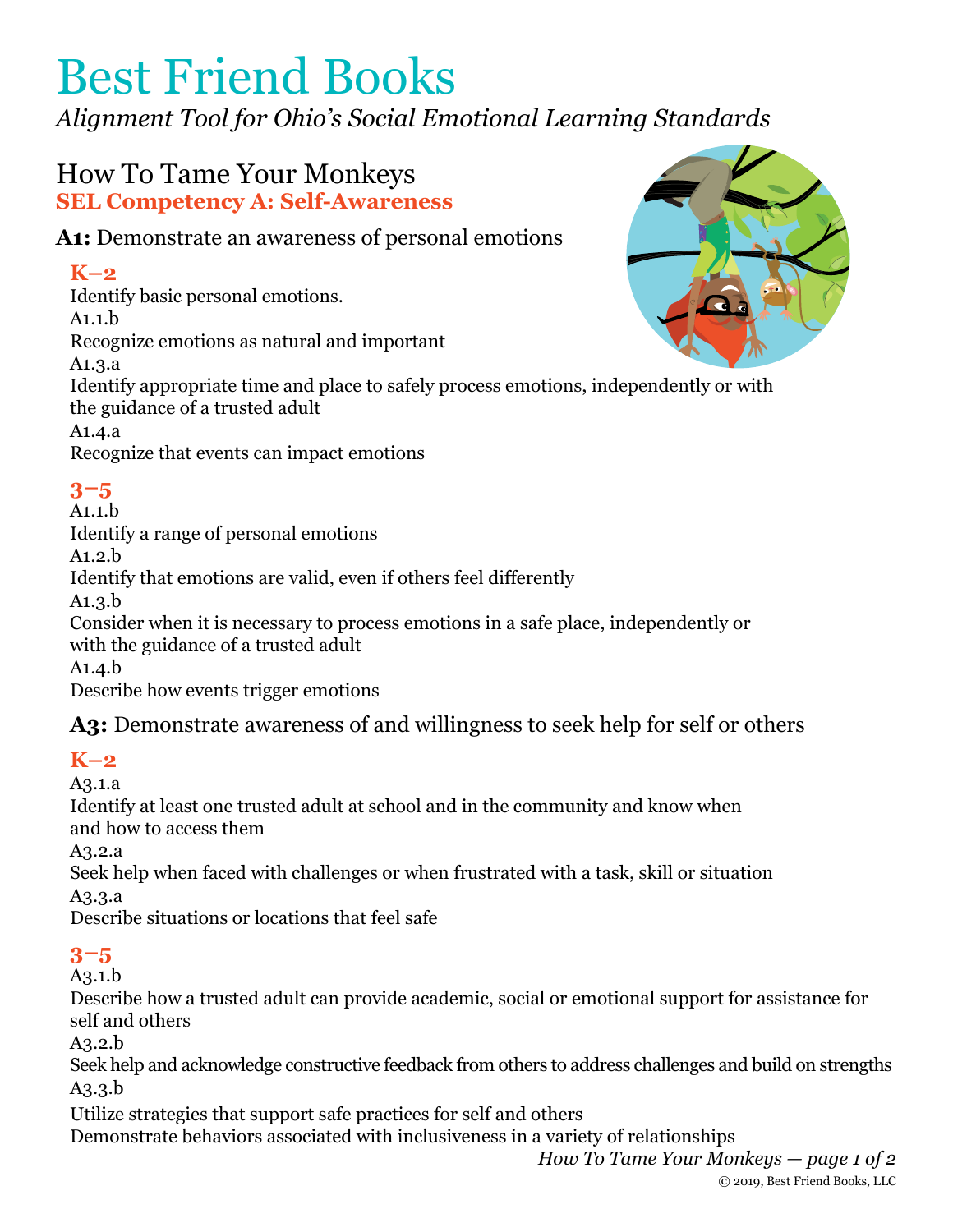*Alignment Tool for Ohio's Social Emotional Learning Standards*

# How To Tame Your Monkeys **SEL Competency A: Self-Awareness**

## **A1:** Demonstrate an awareness of personal emotions

# **K–2**

Identify basic personal emotions.

A1.1.b

Recognize emotions as natural and important

A1.3.a

Identify appropriate time and place to safely process emotions, independently or with the guidance of a trusted adult

A1.4.a

Recognize that events can impact emotions

# **3–5**

A1.1.b Identify a range of personal emotions A1.2.b Identify that emotions are valid, even if others feel differently A1.3.b Consider when it is necessary to process emotions in a safe place, independently or with the guidance of a trusted adult

A1.4.b

Describe how events trigger emotions

**A3:** Demonstrate awareness of and willingness to seek help for self or others

# **K–2**

A3.1.a

Identify at least one trusted adult at school and in the community and know when and how to access them

A3.2.a

Seek help when faced with challenges or when frustrated with a task, skill or situation A3.3.a

Describe situations or locations that feel safe

# **3–5**

A3.1.b

Describe how a trusted adult can provide academic, social or emotional support for assistance for self and others

A3.2.b

Seek help and acknowledge constructive feedback from others to address challenges and build on strengths A3.3.b

Utilize strategies that support safe practices for self and others

Demonstrate behaviors associated with inclusiveness in a variety of relationships

*How To Tame Your Monkeys — page 1 of 2* © 2019, Best Friend Books, LLC

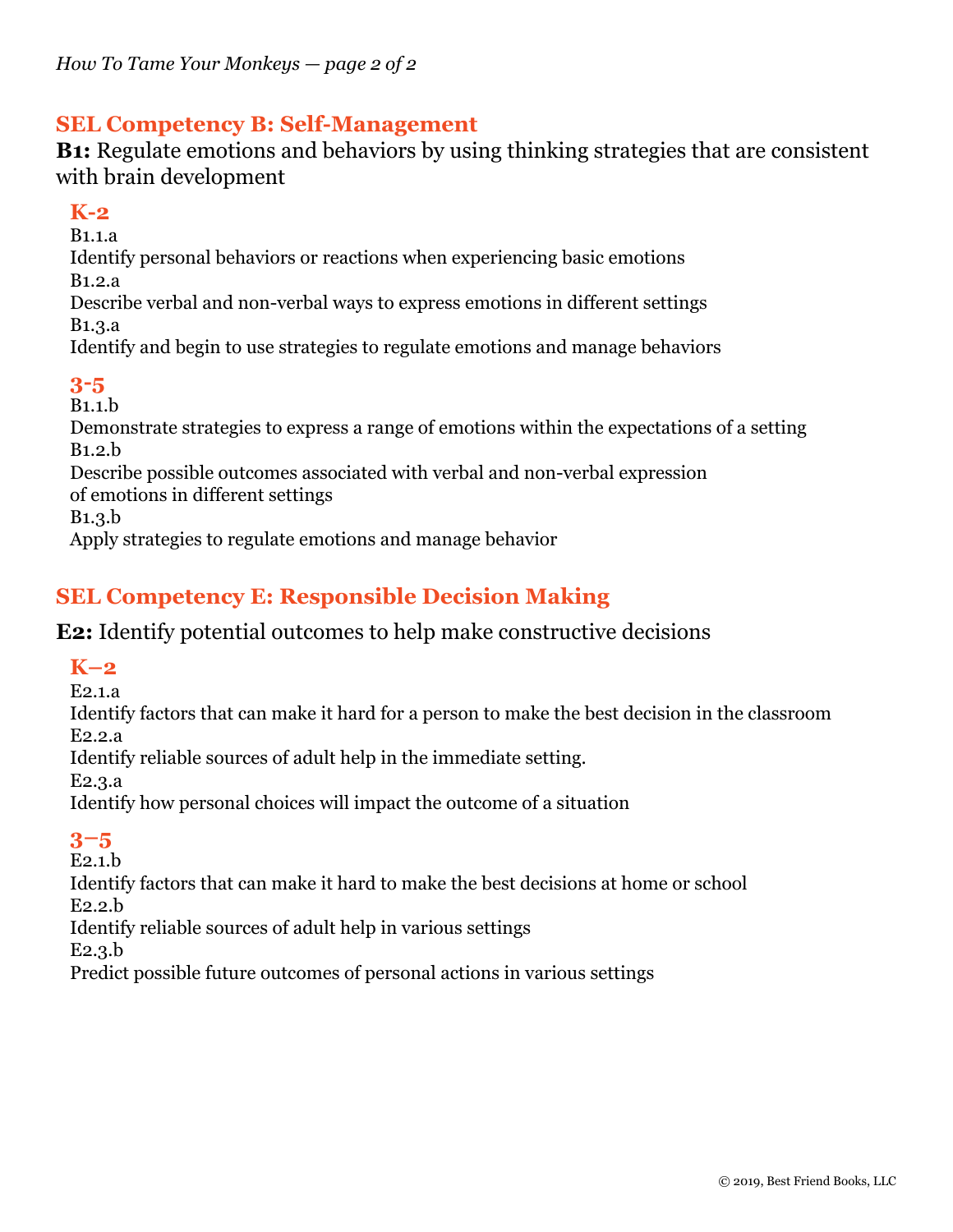## **SEL Competency B: Self-Management**

**B1:** Regulate emotions and behaviors by using thinking strategies that are consistent with brain development

## **K-2**

B1.1.a Identify personal behaviors or reactions when experiencing basic emotions B1.2.a Describe verbal and non-verbal ways to express emotions in different settings B1.3.a Identify and begin to use strategies to regulate emotions and manage behaviors **3-5** B1.1.b Demonstrate strategies to express a range of emotions within the expectations of a setting B1.2.b

Describe possible outcomes associated with verbal and non-verbal expression of emotions in different settings

B1.3.b

Apply strategies to regulate emotions and manage behavior

## **SEL Competency E: Responsible Decision Making**

## **E2:** Identify potential outcomes to help make constructive decisions

## **K–2**

E2.1.a

Identify factors that can make it hard for a person to make the best decision in the classroom E2.2.a

Identify reliable sources of adult help in the immediate setting.

E2.3.a

Identify how personal choices will impact the outcome of a situation

## **3–5**

E2.1.b

Identify factors that can make it hard to make the best decisions at home or school E2.2.b

Identify reliable sources of adult help in various settings

E2.3.b

Predict possible future outcomes of personal actions in various settings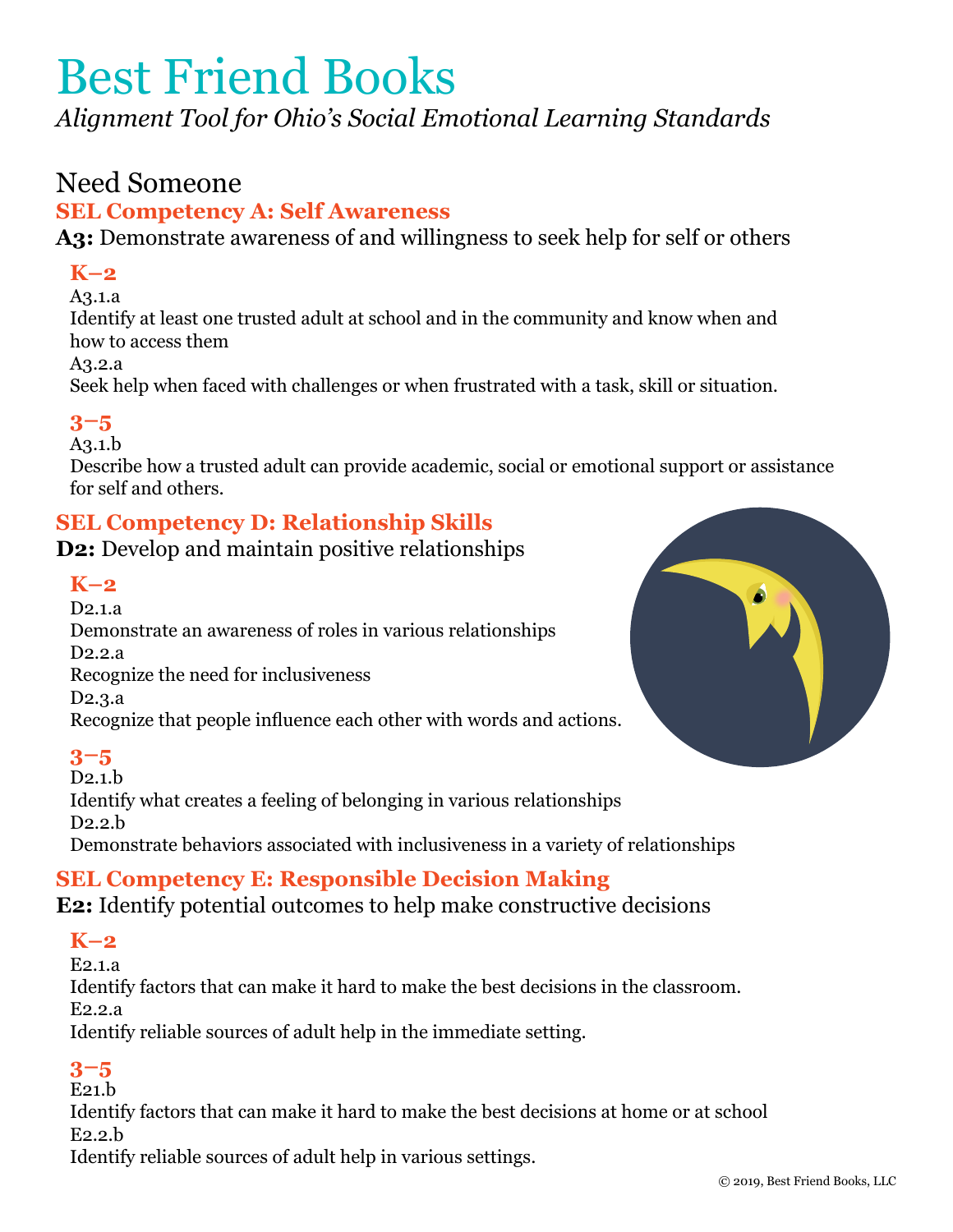*Alignment Tool for Ohio's Social Emotional Learning Standards*

# Need Someone

## **SEL Competency A: Self Awareness**

**A3:** Demonstrate awareness of and willingness to seek help for self or others

## **K–2**

A3.1.a

Identify at least one trusted adult at school and in the community and know when and how to access them

A3.2.a

Seek help when faced with challenges or when frustrated with a task, skill or situation.

## **3–5**

A3.1.b

Describe how a trusted adult can provide academic, social or emotional support or assistance for self and others.

## **SEL Competency D: Relationship Skills**

**D2:** Develop and maintain positive relationships

## **K–2**

D2.1.a Demonstrate an awareness of roles in various relationships D2.2.a Recognize the need for inclusiveness D2.3.a Recognize that people influence each other with words and actions.

## **3–5**

D2.1.b Identify what creates a feeling of belonging in various relationships D2.2.b Demonstrate behaviors associated with inclusiveness in a variety of relationships

## **SEL Competency E: Responsible Decision Making**

**E2:** Identify potential outcomes to help make constructive decisions

## **K–2**

E2.1.a Identify factors that can make it hard to make the best decisions in the classroom. E2.2.a

Identify reliable sources of adult help in the immediate setting.

## **3–5**

 $E21.h$ 

Identify factors that can make it hard to make the best decisions at home or at school E2.2.b

Identify reliable sources of adult help in various settings.

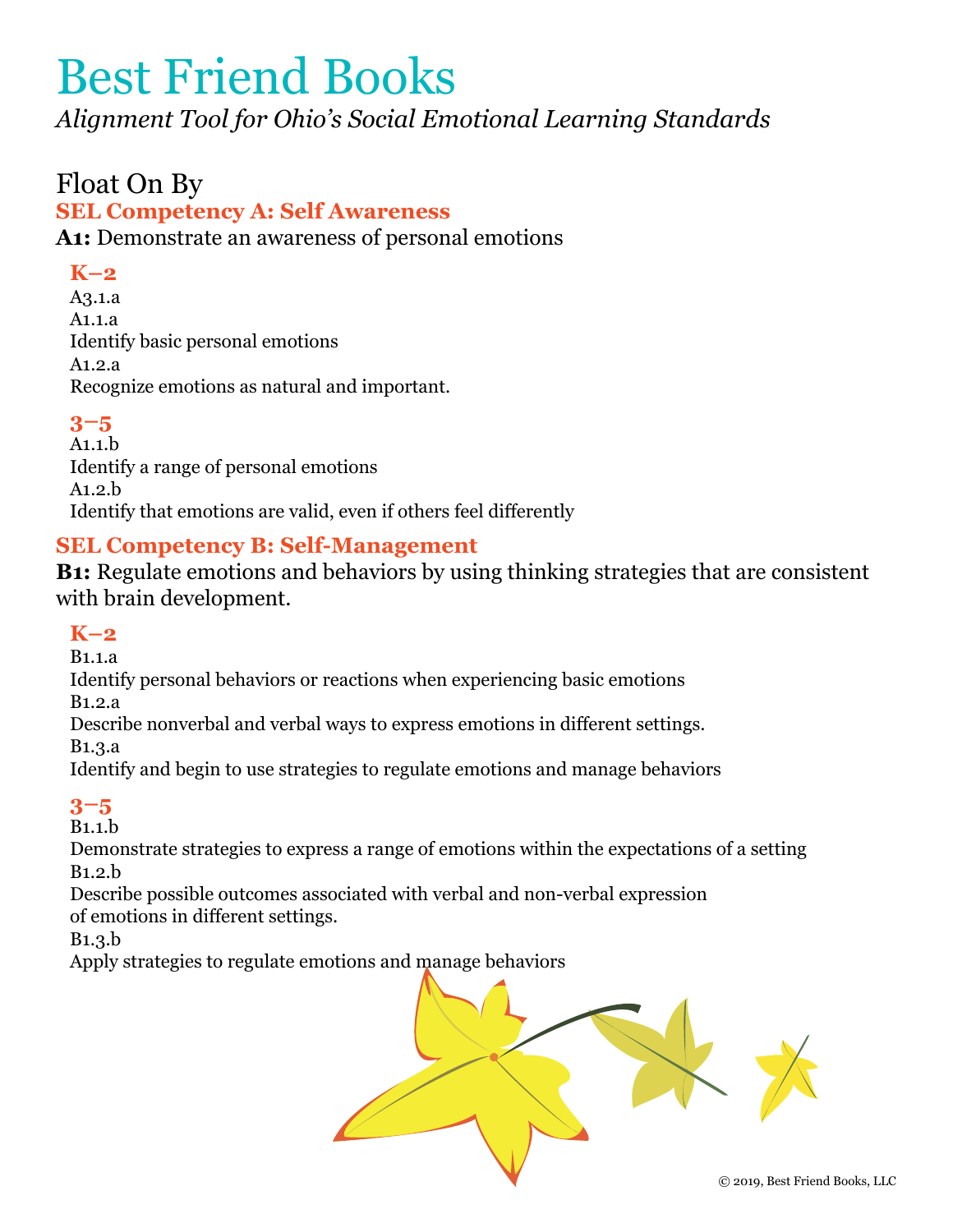*Alignment Tool for Ohio's Social Emotional Learning Standards*

# Float On By

#### **SEL Competency A: Self Awareness**

**A1:** Demonstrate an awareness of personal emotions

## **K–2**

A3.1.a A1.1.a Identify basic personal emotions A1.2.a Recognize emotions as natural and important.

## **3–5**

A1.1.b Identify a range of personal emotions A1.2.b Identify that emotions are valid, even if others feel differently

## **SEL Competency B: Self-Management**

**B1:** Regulate emotions and behaviors by using thinking strategies that are consistent with brain development.

#### **K–2**

B1.1.a

Identify personal behaviors or reactions when experiencing basic emotions

B1.2.a

Describe nonverbal and verbal ways to express emotions in different settings.

B1.3.a

Identify and begin to use strategies to regulate emotions and manage behaviors

## **3–5**

B1.1.b

Demonstrate strategies to express a range of emotions within the expectations of a setting B1.2.b

Describe possible outcomes associated with verbal and non-verbal expression of emotions in different settings.

B1.3.b

Apply strategies to regulate emotions and manage behaviors

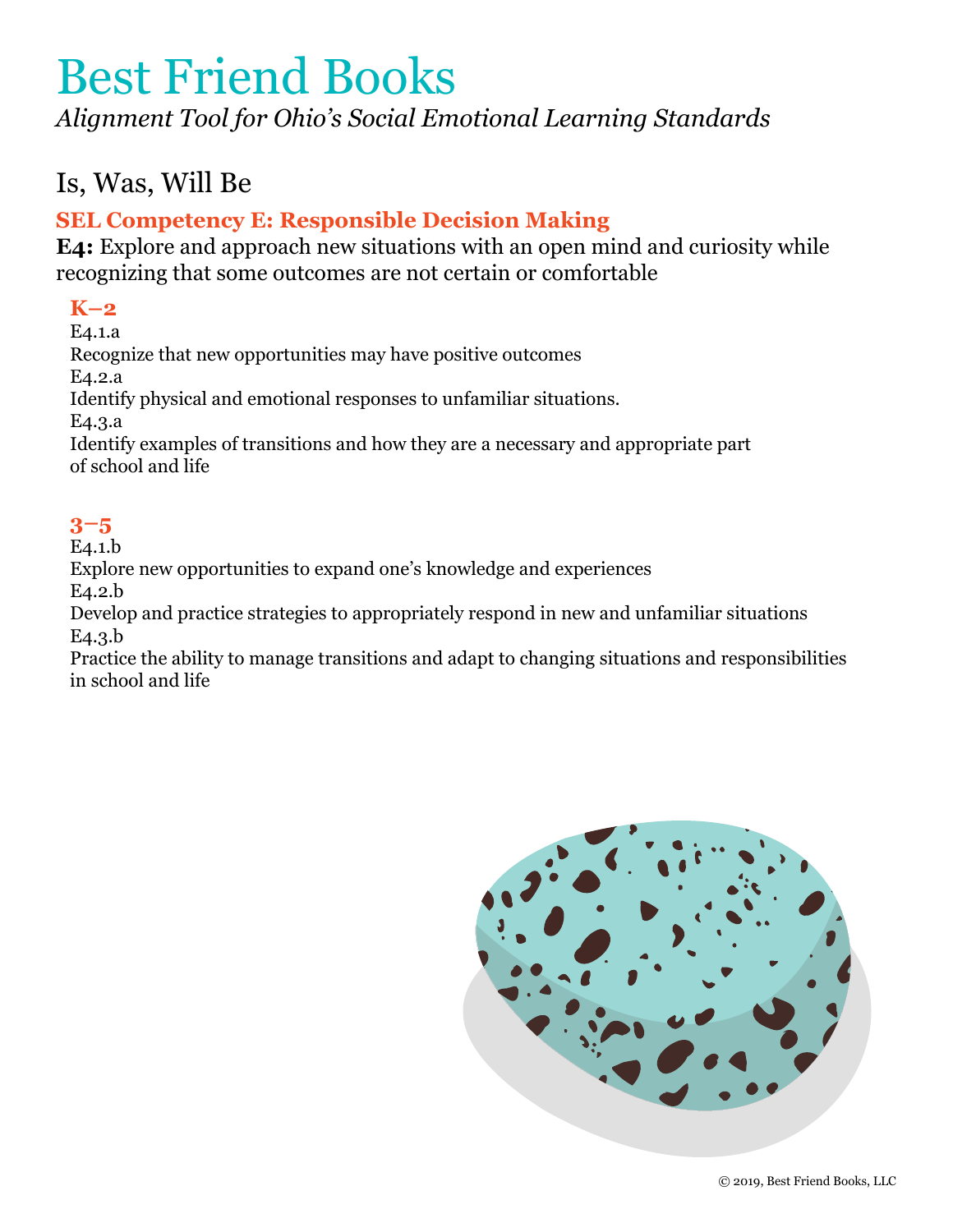*Alignment Tool for Ohio's Social Emotional Learning Standards*

# Is, Was, Will Be

## **SEL Competency E: Responsible Decision Making**

**E4:** Explore and approach new situations with an open mind and curiosity while recognizing that some outcomes are not certain or comfortable

## **K–2**

E4.1.a Recognize that new opportunities may have positive outcomes E4.2.a Identify physical and emotional responses to unfamiliar situations. E4.3.a Identify examples of transitions and how they are a necessary and appropriate part of school and life

## **3–5**

E4.1.b

Explore new opportunities to expand one's knowledge and experiences E4.2.b

Develop and practice strategies to appropriately respond in new and unfamiliar situations E4.3.b

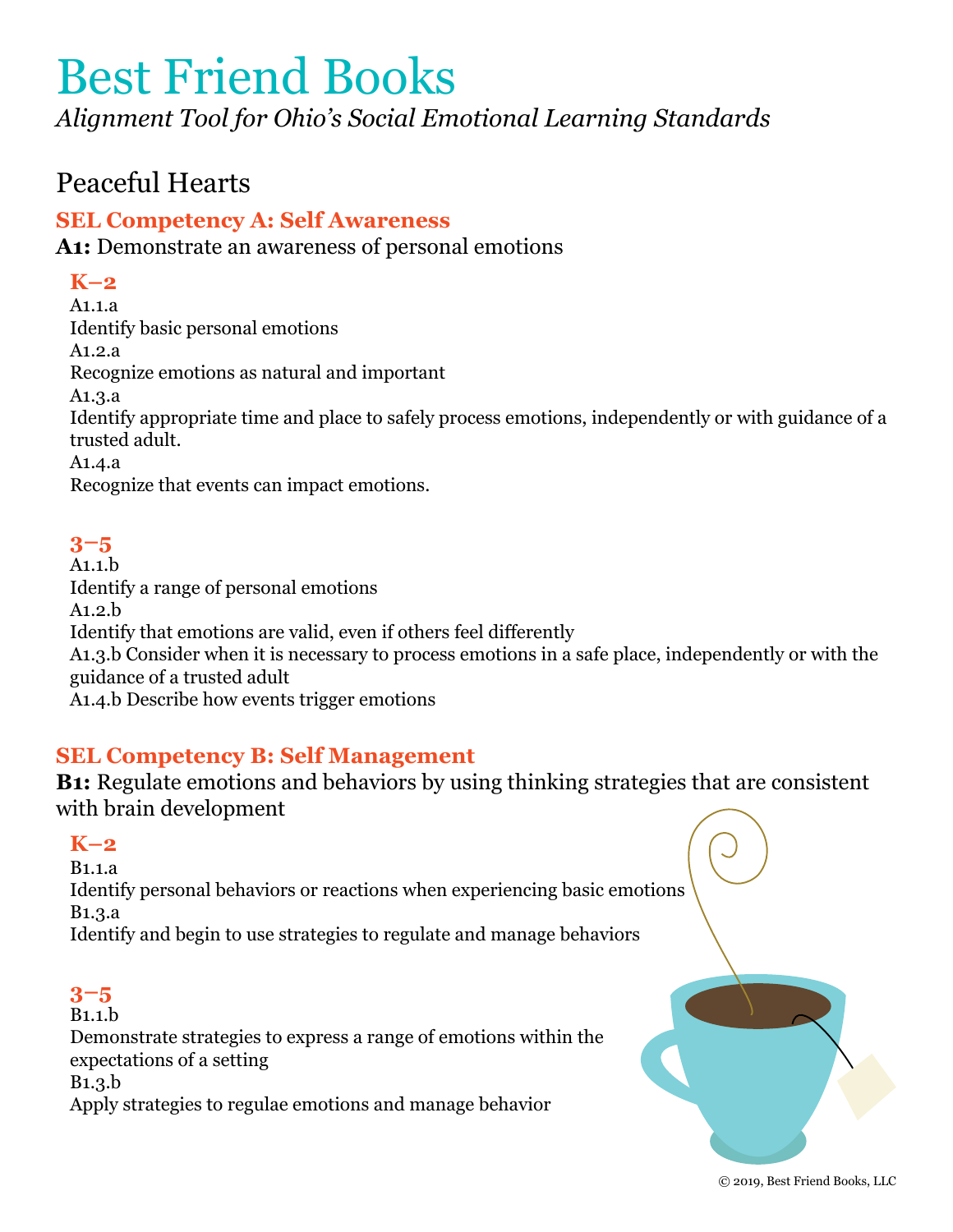*Alignment Tool for Ohio's Social Emotional Learning Standards*

# Peaceful Hearts

## **SEL Competency A: Self Awareness**

**A1:** Demonstrate an awareness of personal emotions

# **K–2**

A1.1.a Identify basic personal emotions A1.2.a Recognize emotions as natural and important A1.3.a Identify appropriate time and place to safely process emotions, independently or with guidance of a trusted adult. A1.4.a Recognize that events can impact emotions.

# **3–5**

A1.1.b Identify a range of personal emotions A1.2.b Identify that emotions are valid, even if others feel differently A1.3.b Consider when it is necessary to process emotions in a safe place, independently or with the guidance of a trusted adult

A1.4.b Describe how events trigger emotions

## **SEL Competency B: Self Management**

**B1:** Regulate emotions and behaviors by using thinking strategies that are consistent with brain development

## **K–2**

B1.1.a Identify personal behaviors or reactions when experiencing basic emotions B1.3.a Identify and begin to use strategies to regulate and manage behaviors

## **3–5**

B1.1.b

Demonstrate strategies to express a range of emotions within the expectations of a setting B1.3.b

Apply strategies to regulae emotions and manage behavior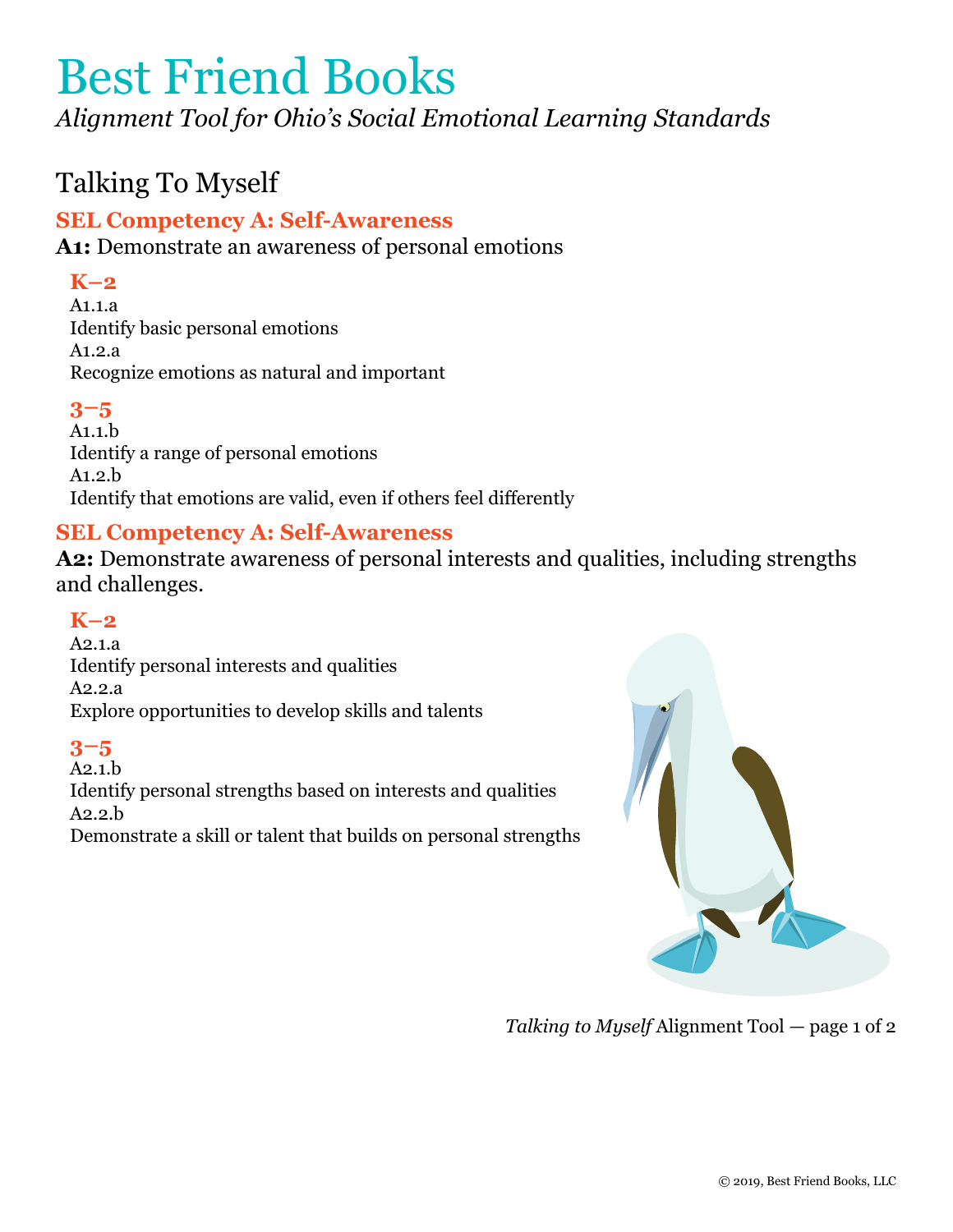*Alignment Tool for Ohio's Social Emotional Learning Standards*

# Talking To Myself

## **SEL Competency A: Self-Awareness**

**A1:** Demonstrate an awareness of personal emotions

## **K–2**

A1.1.a Identify basic personal emotions A1.2.a Recognize emotions as natural and important

## **3–5**

A1.1.b Identify a range of personal emotions A1.2.b Identify that emotions are valid, even if others feel differently

## **SEL Competency A: Self-Awareness**

**A2:** Demonstrate awareness of personal interests and qualities, including strengths and challenges.

## **K–2**

A2.1.a Identify personal interests and qualities A2.2.a Explore opportunities to develop skills and talents

## **3–5**

A2.1.b Identify personal strengths based on interests and qualities A2.2.b Demonstrate a skill or talent that builds on personal strengths



*Talking to Myself* Alignment Tool *—* page 1 of 2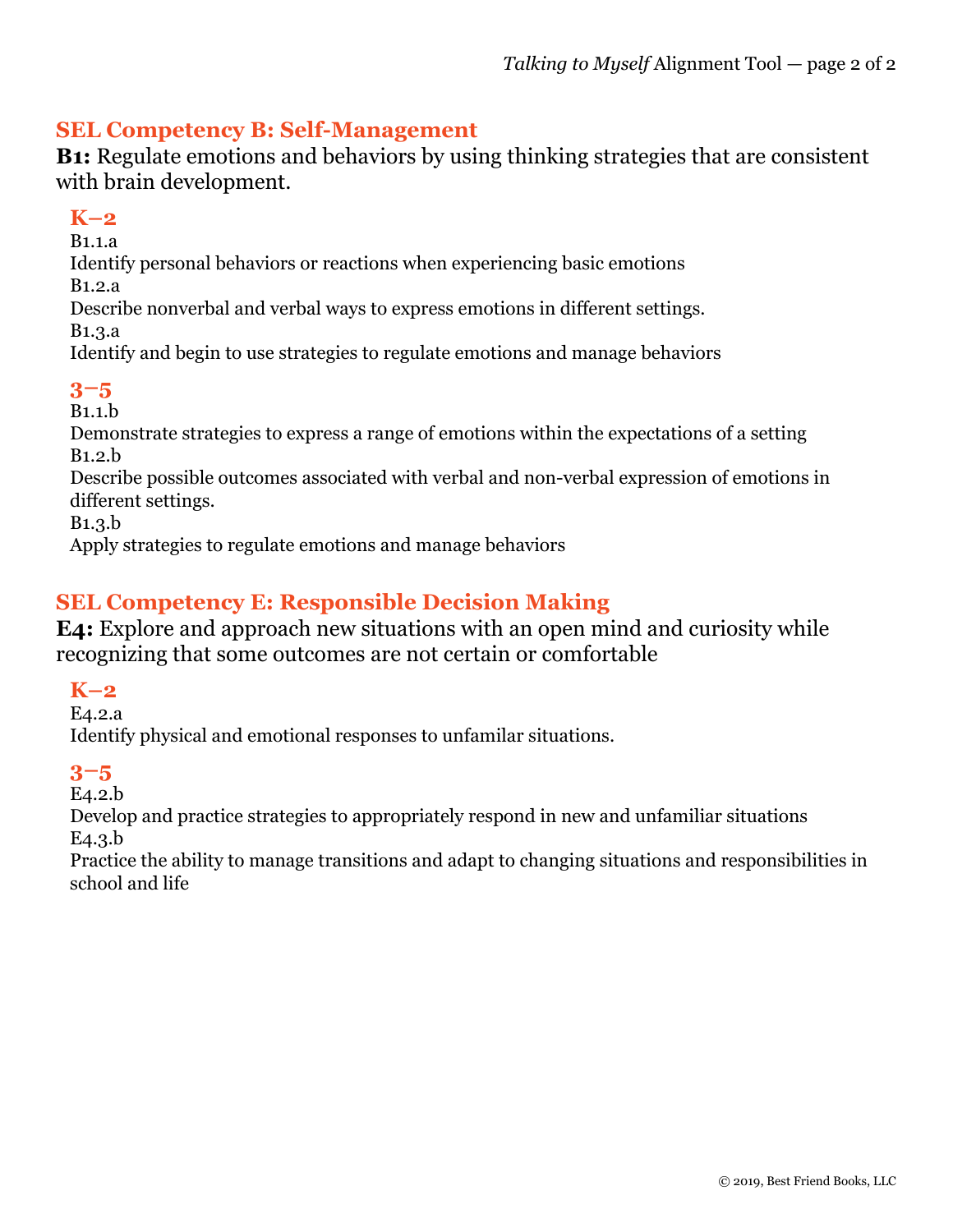## **SEL Competency B: Self-Management**

**B1:** Regulate emotions and behaviors by using thinking strategies that are consistent with brain development.

#### **K–2**

B1.1.a

Identify personal behaviors or reactions when experiencing basic emotions

B1.2.a

Describe nonverbal and verbal ways to express emotions in different settings.

B1.3.a

Identify and begin to use strategies to regulate emotions and manage behaviors

## **3–5**

B1.1.b

Demonstrate strategies to express a range of emotions within the expectations of a setting B1.2.b

Describe possible outcomes associated with verbal and non-verbal expression of emotions in different settings.

B1.3.b

Apply strategies to regulate emotions and manage behaviors

## **SEL Competency E: Responsible Decision Making**

**E4:** Explore and approach new situations with an open mind and curiosity while recognizing that some outcomes are not certain or comfortable

## **K–2**

E4.2.a

Identify physical and emotional responses to unfamilar situations.

## **3–5**

E4.2.b

Develop and practice strategies to appropriately respond in new and unfamiliar situations E4.3.b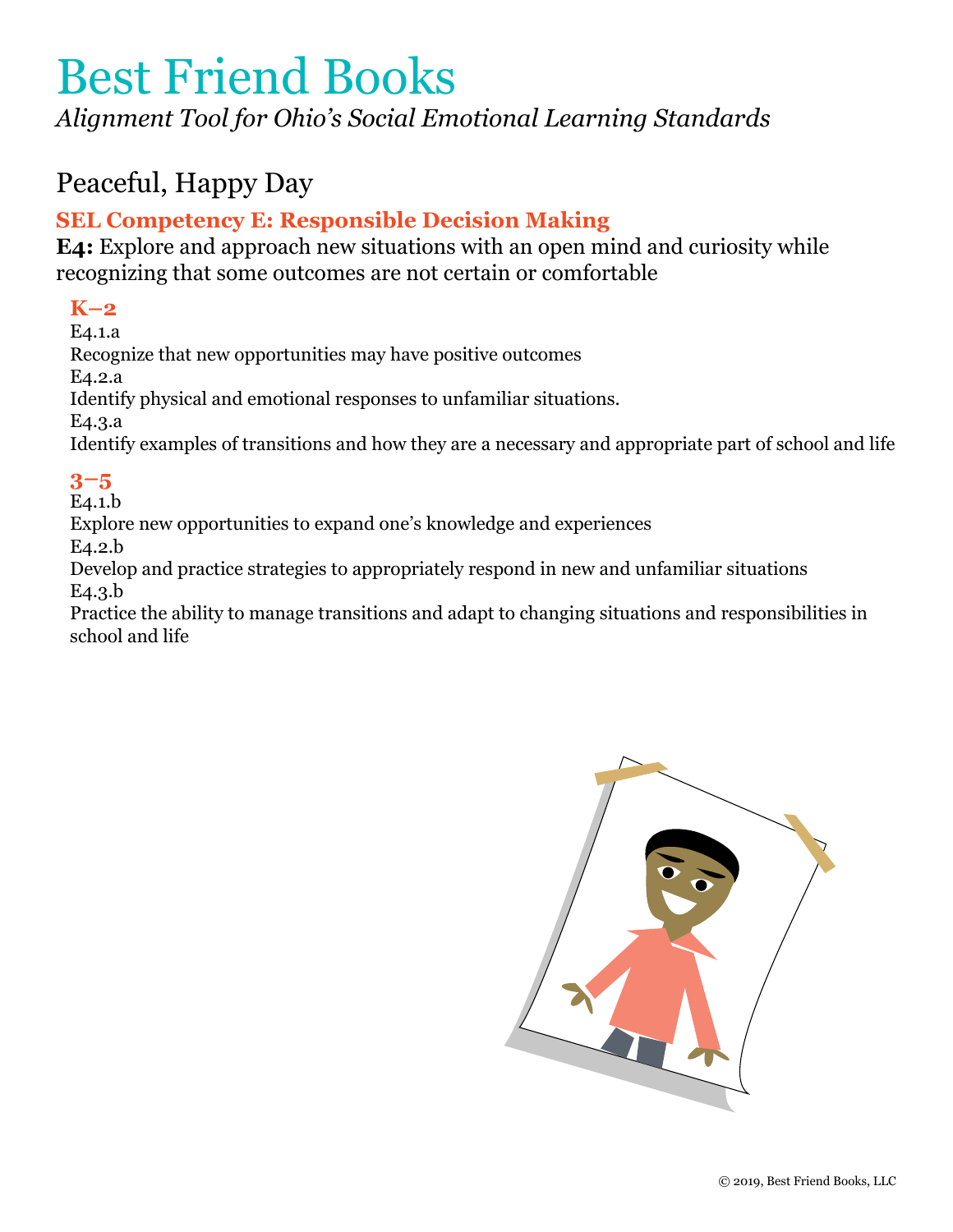*Alignment Tool for Ohio's Social Emotional Learning Standards*

# Peaceful, Happy Day

# **SEL Competency E: Responsible Decision Making**

**E4:** Explore and approach new situations with an open mind and curiosity while recognizing that some outcomes are not certain or comfortable

## **K–2**

E4.1.a Recognize that new opportunities may have positive outcomes E4.2.a Identify physical and emotional responses to unfamiliar situations. E4.3.a Identify examples of transitions and how they are a necessary and appropriate part of school and life

## **3–5**

E4.1.b

Explore new opportunities to expand one's knowledge and experiences

E4.2.b

Develop and practice strategies to appropriately respond in new and unfamiliar situations E4.3.b

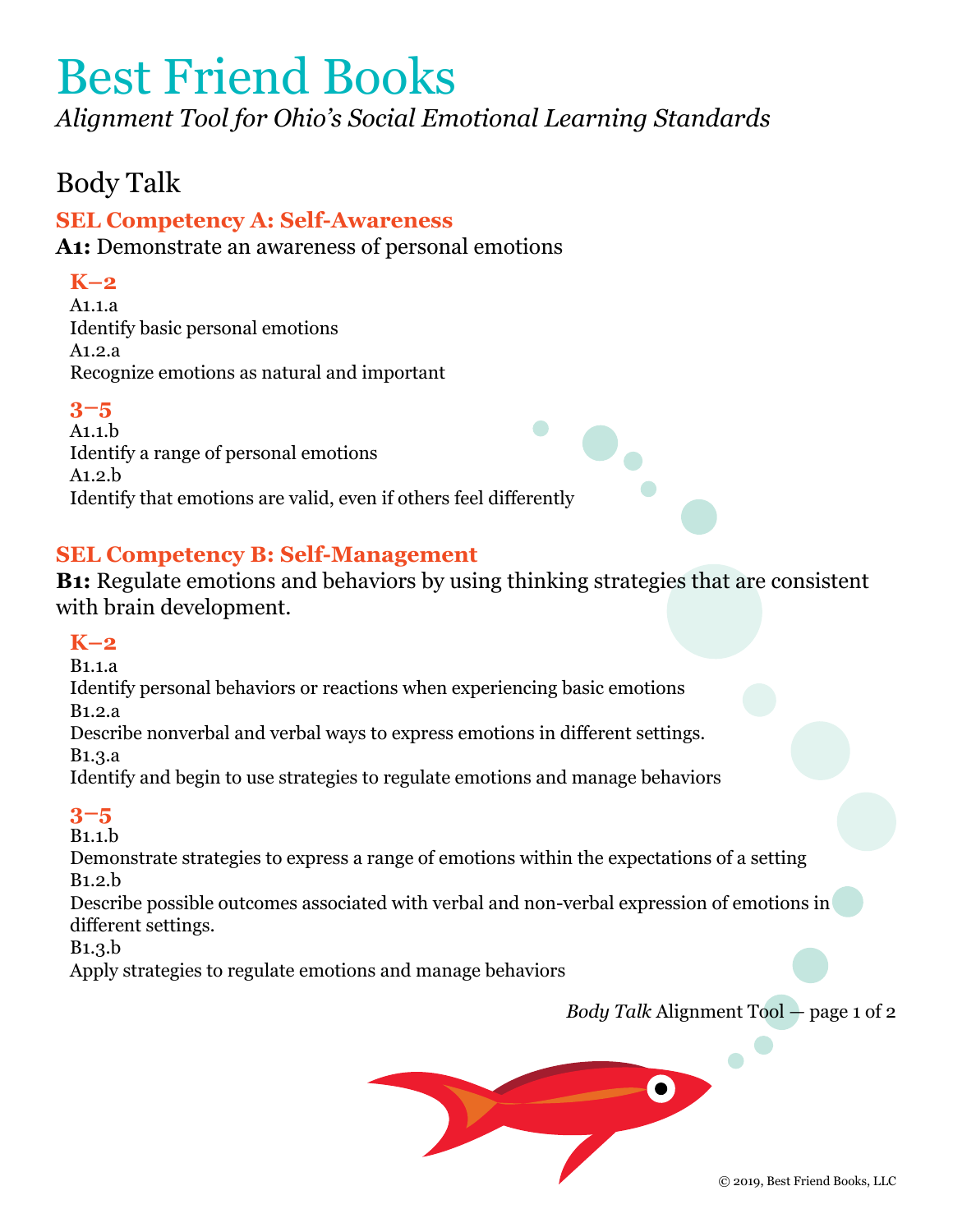*Alignment Tool for Ohio's Social Emotional Learning Standards*

# Body Talk

## **SEL Competency A: Self-Awareness**

**A1:** Demonstrate an awareness of personal emotions

## **K–2**

A1.1.a Identify basic personal emotions A1.2.a Recognize emotions as natural and important

## **3–5**

A1.1.b Identify a range of personal emotions A1.2.b Identify that emotions are valid, even if others feel differently

## **SEL Competency B: Self-Management**

**B1:** Regulate emotions and behaviors by using thinking strategies that are consistent with brain development.

## **K–2**

B1.1.a

Identify personal behaviors or reactions when experiencing basic emotions

B1.2.a

Describe nonverbal and verbal ways to express emotions in different settings.

B1.3.a

Identify and begin to use strategies to regulate emotions and manage behaviors

## **3–5**

B1.1.b

Demonstrate strategies to express a range of emotions within the expectations of a setting B1.2.b

Describe possible outcomes associated with verbal and non-verbal expression of emotions in different settings.

B1.3.b

Apply strategies to regulate emotions and manage behaviors

*Body Talk* Alignment Tool *—* page 1 of 2

 $\bullet$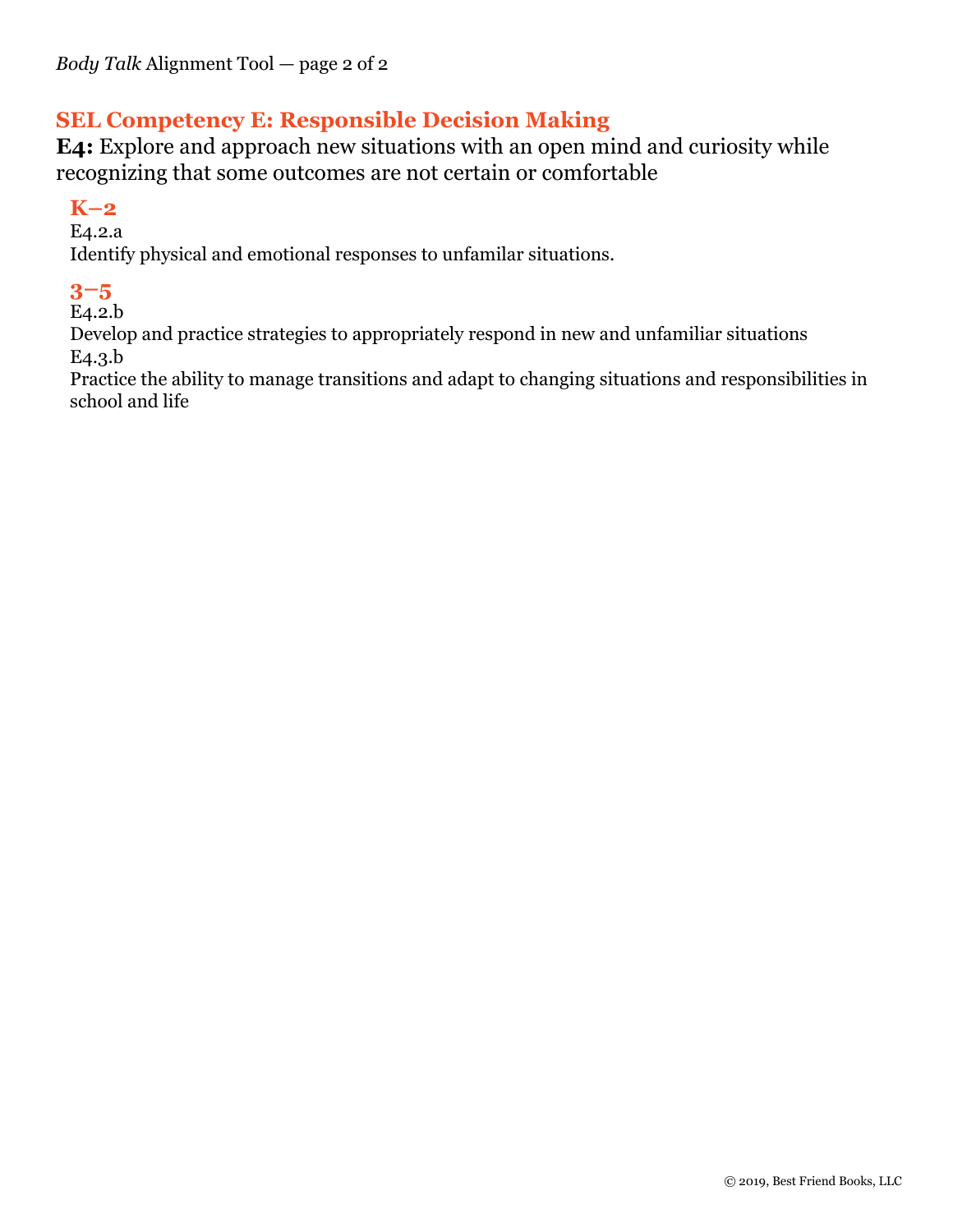## **SEL Competency E: Responsible Decision Making**

**E4:** Explore and approach new situations with an open mind and curiosity while recognizing that some outcomes are not certain or comfortable

## **K–2**

E4.2.a

Identify physical and emotional responses to unfamilar situations.

## **3–5**

E4.2.b

Develop and practice strategies to appropriately respond in new and unfamiliar situations E4.3.b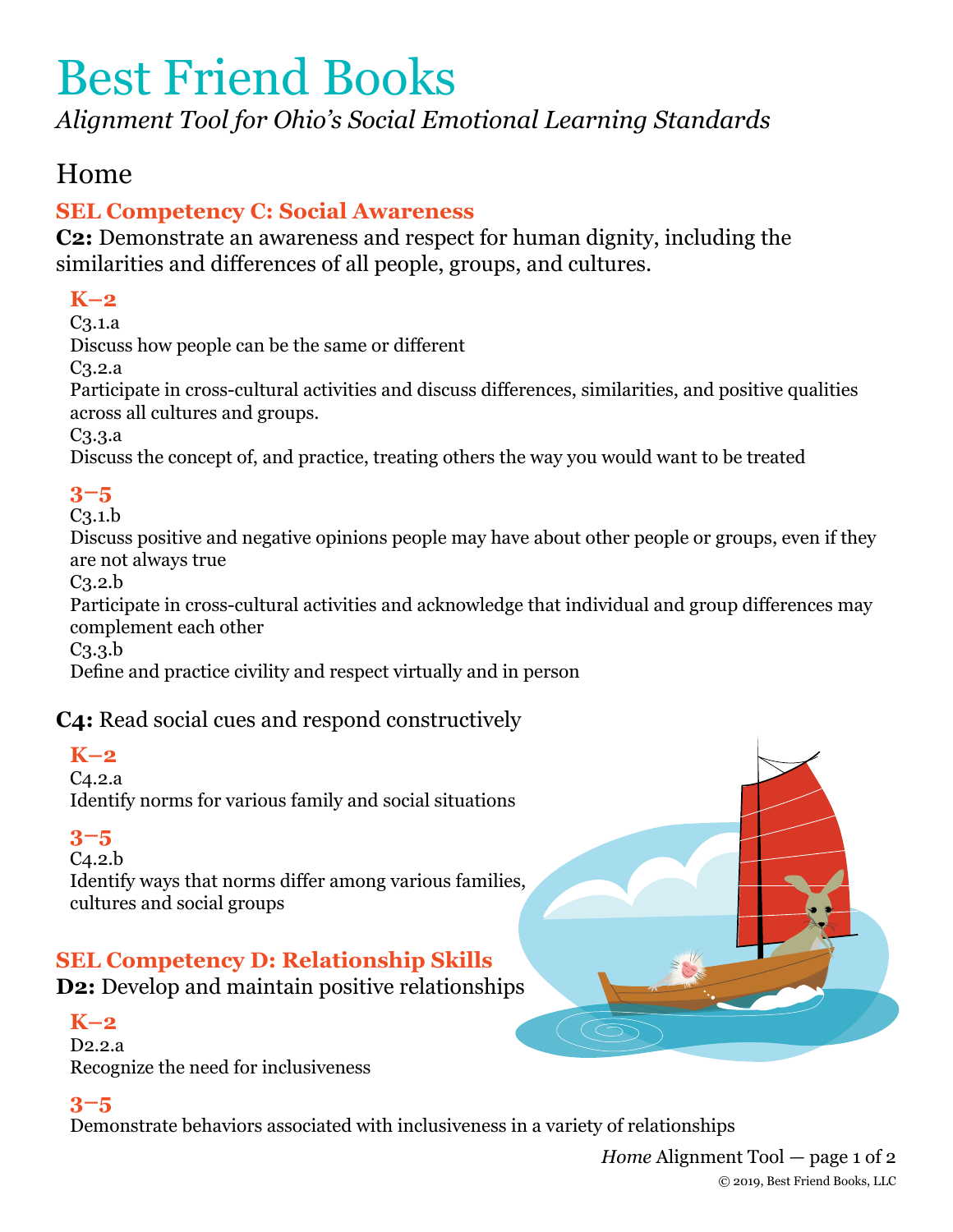*Alignment Tool for Ohio's Social Emotional Learning Standards*

# Home

# **SEL Competency C: Social Awareness**

**C2:** Demonstrate an awareness and respect for human dignity, including the similarities and differences of all people, groups, and cultures.

## **K–2**

C3.1.a

Discuss how people can be the same or different

C3.2.a

Participate in cross-cultural activities and discuss differences, similarities, and positive qualities across all cultures and groups.

C3.3.a

Discuss the concept of, and practice, treating others the way you would want to be treated

# **3–5**

C3.1.b

Discuss positive and negative opinions people may have about other people or groups, even if they are not always true

C3.2.b

Participate in cross-cultural activities and acknowledge that individual and group differences may complement each other

C3.3.b

Define and practice civility and respect virtually and in person

## **C4:** Read social cues and respond constructively

## **K–2**

C4.2.a Identify norms for various family and social situations

## **3–5**

C4.2.b

Identify ways that norms differ among various families, cultures and social groups

# **SEL Competency D: Relationship Skills**

**D2:** Develop and maintain positive relationships

## **K–2**

D2.2.a Recognize the need for inclusiveness

## **3–5**

Demonstrate behaviors associated with inclusiveness in a variety of relationships

*Home* Alignment Tool *—* page 1 of 2 © 2019, Best Friend Books, LLC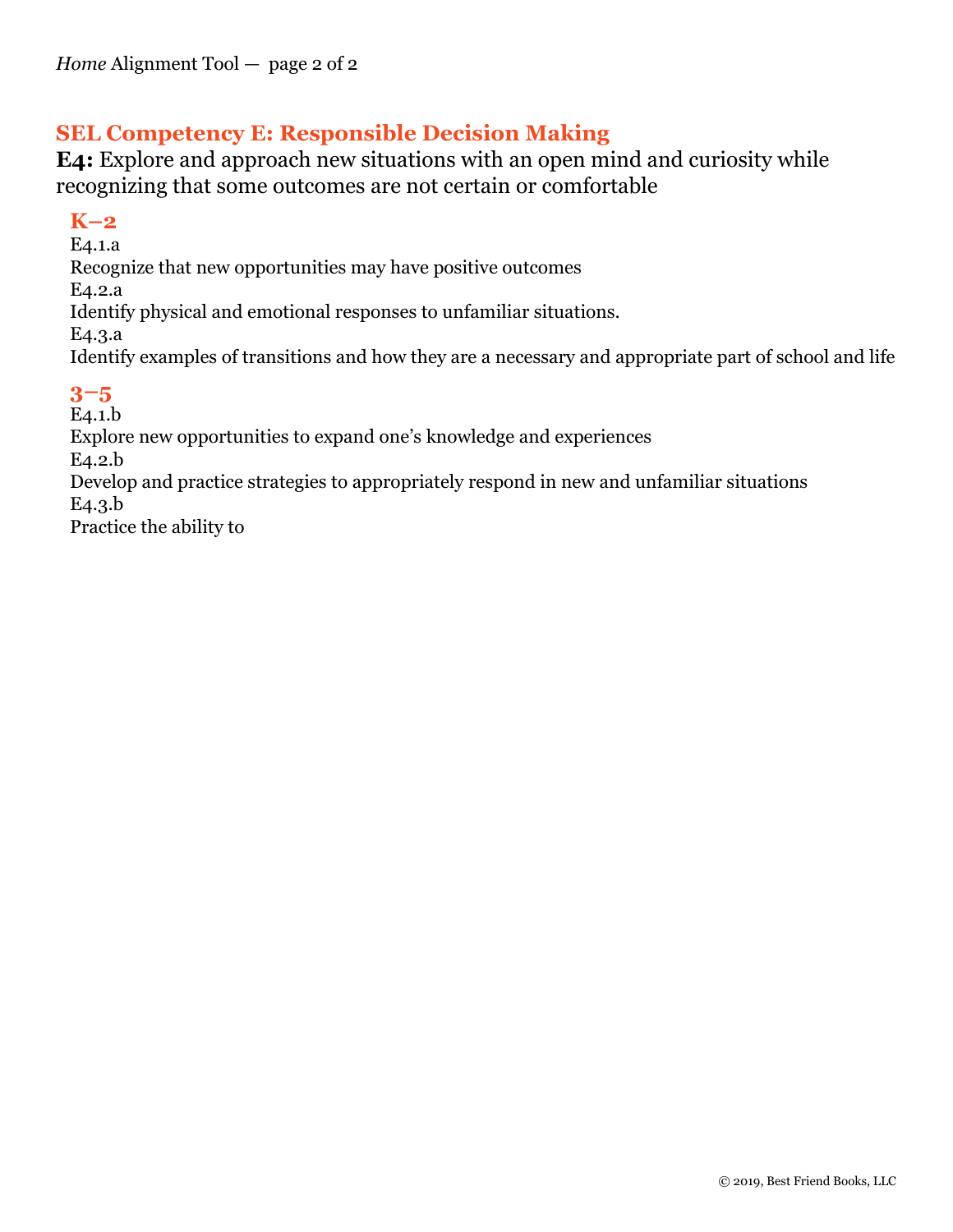## **SEL Competency E: Responsible Decision Making**

**E4:** Explore and approach new situations with an open mind and curiosity while recognizing that some outcomes are not certain or comfortable

#### **K–2**

E4.1.a Recognize that new opportunities may have positive outcomes E4.2.a Identify physical and emotional responses to unfamiliar situations. E4.3.a Identify examples of transitions and how they are a necessary and appropriate part of school and life

## **3–5**

E4.1.b Explore new opportunities to expand one's knowledge and experiences E4.2.b Develop and practice strategies to appropriately respond in new and unfamiliar situations E4.3.b Practice the ability to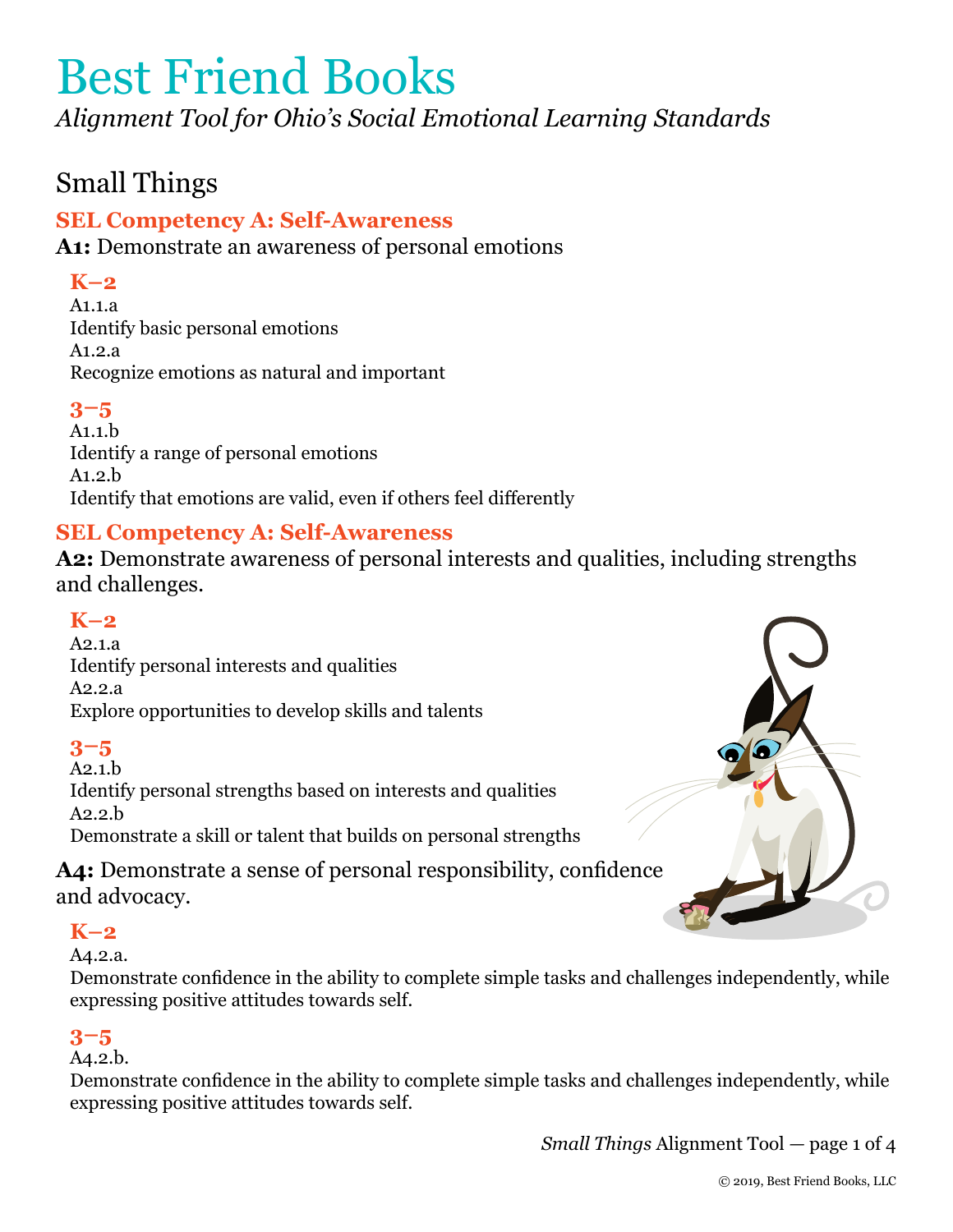*Alignment Tool for Ohio's Social Emotional Learning Standards*

# Small Things

## **SEL Competency A: Self-Awareness**

**A1:** Demonstrate an awareness of personal emotions

## **K–2**

A1.1.a Identify basic personal emotions A1.2.a Recognize emotions as natural and important

## **3–5**

A1.1.b Identify a range of personal emotions A1.2.b Identify that emotions are valid, even if others feel differently

## **SEL Competency A: Self-Awareness**

**A2:** Demonstrate awareness of personal interests and qualities, including strengths and challenges.

## **K–2**

A2.1.a Identify personal interests and qualities A2.2.a Explore opportunities to develop skills and talents

## **3–5**

A2.1.b Identify personal strengths based on interests and qualities A2.2.b Demonstrate a skill or talent that builds on personal strengths

**A4:** Demonstrate a sense of personal responsibility, confidence and advocacy.

## **K–2**

#### A4.2.a.

Demonstrate confidence in the ability to complete simple tasks and challenges independently, while expressing positive attitudes towards self.

## **3–5**

#### A4.2.b.

Demonstrate confidence in the ability to complete simple tasks and challenges independently, while expressing positive attitudes towards self.

*Small Things* Alignment Tool *—* page 1 of 4

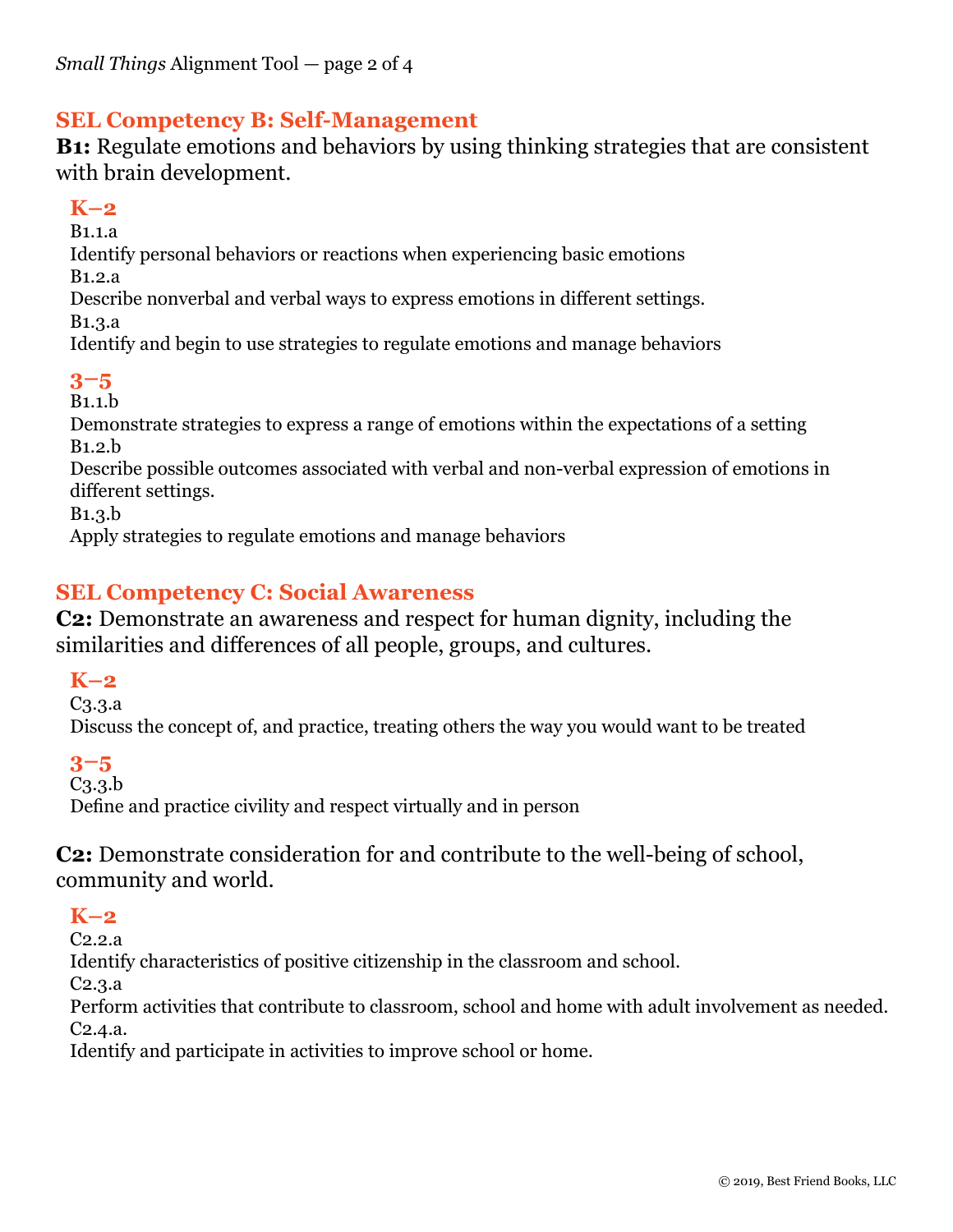## **SEL Competency B: Self-Management**

**B1:** Regulate emotions and behaviors by using thinking strategies that are consistent with brain development.

## **K–2**

B1.1.a Identify personal behaviors or reactions when experiencing basic emotions B1.2.a

Describe nonverbal and verbal ways to express emotions in different settings.

B1.3.a

Identify and begin to use strategies to regulate emotions and manage behaviors

## **3–5**

B1.1.b

Demonstrate strategies to express a range of emotions within the expectations of a setting B1.2.b

Describe possible outcomes associated with verbal and non-verbal expression of emotions in different settings.

B1.3.b

Apply strategies to regulate emotions and manage behaviors

## **SEL Competency C: Social Awareness**

**C2:** Demonstrate an awareness and respect for human dignity, including the similarities and differences of all people, groups, and cultures.

#### **K–2**

C3.3.a

Discuss the concept of, and practice, treating others the way you would want to be treated

#### **3–5**

C3.3.b

Define and practice civility and respect virtually and in person

**C2:** Demonstrate consideration for and contribute to the well-being of school, community and world.

## **K–2**

C2.2.a

Identify characteristics of positive citizenship in the classroom and school.

C2.3.a

Perform activities that contribute to classroom, school and home with adult involvement as needed. C2.4.a.

Identify and participate in activities to improve school or home.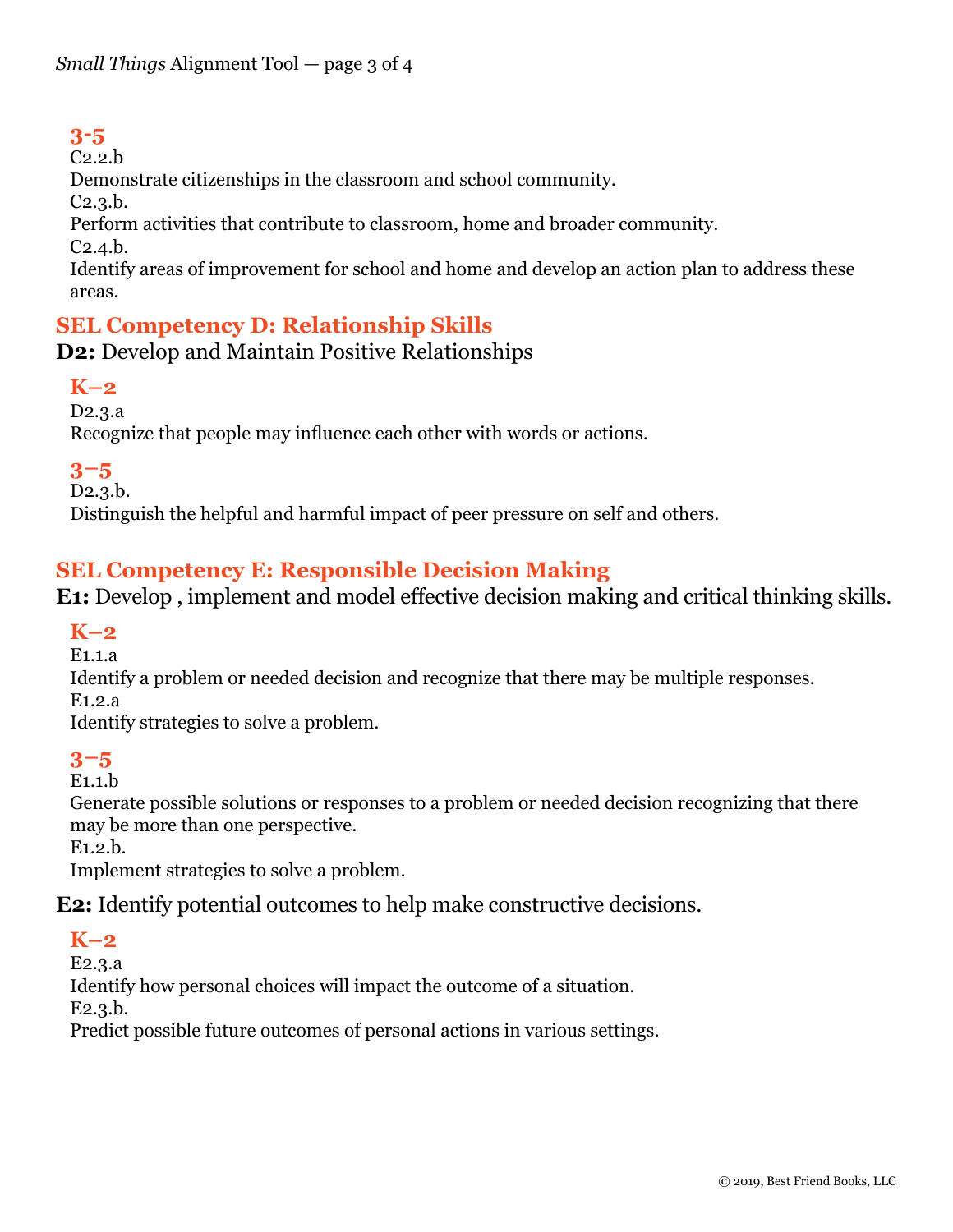## **3-5**

C2.2.b

Demonstrate citizenships in the classroom and school community.

C2.3.b.

Perform activities that contribute to classroom, home and broader community.

C2.4.b.

Identify areas of improvement for school and home and develop an action plan to address these areas.

## **SEL Competency D: Relationship Skills**

## **D2:** Develop and Maintain Positive Relationships

## **K–2**

D2.3.a

Recognize that people may influence each other with words or actions.

## **3–5**

D2.3.b.

Distinguish the helpful and harmful impact of peer pressure on self and others.

## **SEL Competency E: Responsible Decision Making**

**E1:** Develop , implement and model effective decision making and critical thinking skills.

## **K–2**

E1.1.a

Identify a problem or needed decision and recognize that there may be multiple responses.

E1.2.a

Identify strategies to solve a problem.

## **3–5**

E1.1.b

Generate possible solutions or responses to a problem or needed decision recognizing that there may be more than one perspective.

E1.2.b.

Implement strategies to solve a problem.

**E2:** Identify potential outcomes to help make constructive decisions.

## **K–2**

E2.3.a

Identify how personal choices will impact the outcome of a situation.

E2.3.b.

Predict possible future outcomes of personal actions in various settings.